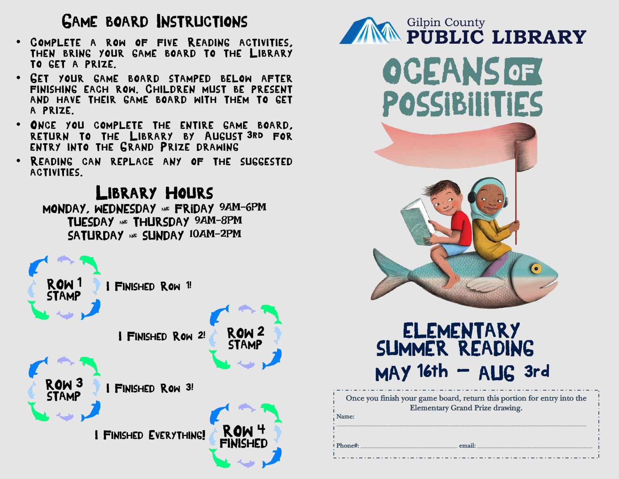## GAME BOARD INSTRUCTIONS

- COMPLETE A ROW OF FIVE READING ACTIVITIES. THEN BRING YOUR GAME BOARD TO THE LIBRARY TO GET A PRIZE.
- GET YOUR GAME BOARD STAMPED BELOW AFTER FINISHING EACH ROW. CHILDREN MUST BE PRESENT AND HAVE THEIR GAME BOARD WITH THEM TO GET A PRIZE.
- ONCE YOU COMPLETE THE ENTIRE GAME BOARD, RETURN TO THE LIBRARY BY AUGUST 3RD FOR ENTRY INTO THE GRAND PRIZE DRAWING
- READING CAN REPLACE ANY OF THE SUGGESTED ACTIVITIES.

LIBRARY HOURS





## $MAY$  16th  $-$  AUG 3rd ELementary SUMMER READING

| Once you finish your game board, return this portion for entry into the |
|-------------------------------------------------------------------------|
| <b>Elementary Grand Prize drawing.</b>                                  |
| <b>Name:</b>                                                            |
|                                                                         |

*Phone#:* \_\_\_\_\_\_\_\_\_\_\_\_\_\_\_\_\_\_\_\_\_\_\_\_\_\_\_\_\_\_\_ *email:* \_\_\_\_\_\_\_\_\_\_\_\_\_\_\_\_\_\_\_\_\_\_\_\_\_\_\_\_\_\_\_\_\_\_\_\_\_